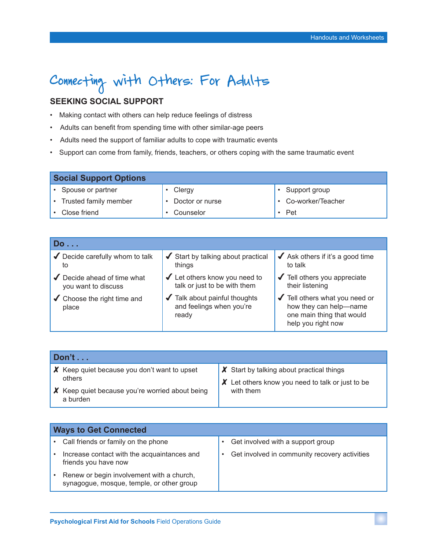# Connecting with Others: For Adults

## **SEEKING SOCIAL SUPPORT**

- Making contact with others can help reduce feelings of distress
- Adults can benefit from spending time with other similar-age peers
- Adults need the support of familiar adults to cope with traumatic events
- Support can come from family, friends, teachers, or others coping with the same traumatic event

| <b>Social Support Options</b> |                 |                     |  |
|-------------------------------|-----------------|---------------------|--|
| Spouse or partner             | Clergy          | Support group       |  |
| Trusted family member         | Doctor or nurse | • Co-worker/Teacher |  |
| Close friend                  | Counselor       | Pet                 |  |

| Do                                                  |                                                                                       |                                                                                                             |  |
|-----------------------------------------------------|---------------------------------------------------------------------------------------|-------------------------------------------------------------------------------------------------------------|--|
| $\blacktriangleright$ Decide carefully whom to talk | $\blacktriangleright$ Start by talking about practical                                | $\blacktriangleright$ Ask others if it's a good time                                                        |  |
| to                                                  | things                                                                                | to talk                                                                                                     |  |
| Decide ahead of time what                           | $\blacktriangleright$ Let others know you need to                                     | $\sqrt{\phantom{a}}$ Tell others you appreciate                                                             |  |
| you want to discuss                                 | talk or just to be with them                                                          | their listening                                                                                             |  |
| $\checkmark$ Choose the right time and<br>place     | $\sqrt{\phantom{a}}$ Talk about painful thoughts<br>and feelings when you're<br>ready | ✔ Tell others what you need or<br>how they can help-name<br>one main thing that would<br>help you right now |  |

| Don't $\dots$ |                                                             |                                                            |
|---------------|-------------------------------------------------------------|------------------------------------------------------------|
|               | $\boldsymbol{X}$ Keep quiet because you don't want to upset | $\boldsymbol{X}$ Start by talking about practical things   |
|               | others                                                      | $\mathsf X$ Let others know you need to talk or just to be |
|               | X Keep quiet because you're worried about being<br>a burden | with them                                                  |

| <b>Ways to Get Connected</b> |                                                                                        |  |                                               |
|------------------------------|----------------------------------------------------------------------------------------|--|-----------------------------------------------|
|                              | Call friends or family on the phone                                                    |  | Get involved with a support group             |
|                              | Increase contact with the acquaintances and<br>friends you have now                    |  | Get involved in community recovery activities |
|                              | Renew or begin involvement with a church,<br>synagogue, mosque, temple, or other group |  |                                               |